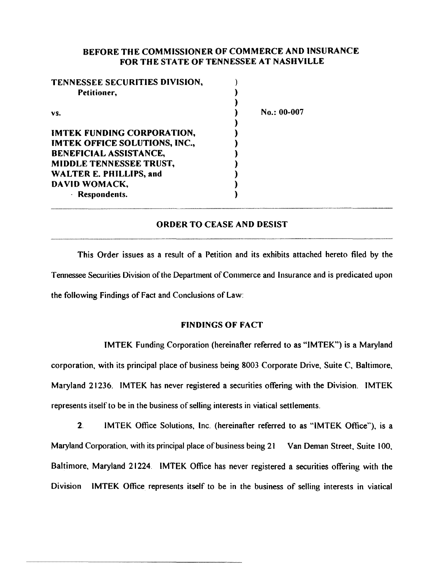## BEFORE THE COMMISSIONER OF COMMERCE AND INSURANCE FOR THE STATE OF TENNESSEE AT NASHVILLE

| $No.: 00-007$ |
|---------------|
|               |
|               |
|               |
|               |
|               |
|               |
|               |
|               |
|               |

### ORDER TO CEASE AND DESIST

This Order issues as a result of a Petition and its exhibits attached hereto filed by the Tennessee Securities Division of the Department of Commerce and Insurance and is predicated upon the following Findings of Fact and Conclusions of Law:

#### FINDINGS OF FACT

IMTEK Funding Corporation (hereinafter referred to as "IMTEK") is a Maryland corporation. with its principal place of business being 8003 Corporate Drive. Suite C. Baltimore. Maryland 21236. IMTEK has never registered a securities offering with the Division. IMTEK represents itself to be in the business of selling interests in viatical settlements.

2. IMTEK Office Solutions. Inc. (hereinafter referred to as "IMTEK Office"), is a Maryland Corporation, with its principal place of business being 21 Van Deman Street, Suite 100, Baltimore. Maryland 21224. IMTEK Office has never registered a securities offering with the Division IMTEK Office represents itself to be in the business of selling interests in viatical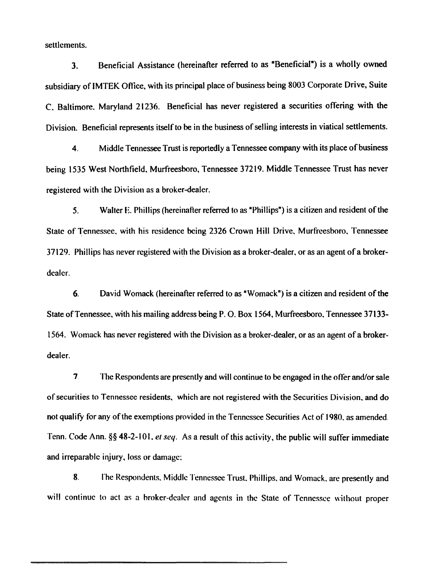settlements.

3. Beneficial Assistance (hereinafter referred to as "Beneficial") is a wholly owned subsidiary of IMTEK Oftice, with its principal place of business being 8003 Corporate Drive, Suite C. Baltimore. Maryland 21236. Beneficial has never registered a securities offering with the Division. Beneficial represents itself to be in the business of selling interests in viatical settlements.

4. Middle Tennessee Trust is reportedly a Tennessee company with its place of business being 1535 West Northfield. Murfreesboro, Tennessee 37219. Middle Tennessee Trust has never registered with the Division as a broker-dealer.

5. Walter E. Phillips (hereinafter referred to as •Phillips") is a citizen and resident of the State of Tennessee, with his residence being 2326 Crown Hill Drive, Murfreesboro. Tennessee 37129. Phillips has never registered with the Division as a broker-dealer, or as an agent of a brokerdealer.

6. David Womack (hereinafter referred to as "Womack") is a citizen and resident of the State of Tennessee, with his mailing address being P. O. Box 1564, Murfreesboro, Tennessee 37133-1564. Womack has never registered with the Division as a broker-dealer, or as an agent of a brokerdealer.

7 let The Respondents are presently and will continue to be engaged in the offer and/or sale of securities to Tennessee residents, which are not registered with the Securities Division, and do not qualify for any of the exemptions provided in the Tennessee Securities Act of 1980. as amended. Tenn. Code Ann. §§ 48-2-101. *et seq.* As a result of this activity, the public will suffer immediate and irreparable injury, loss or damage:

8. Fhe Respondents, Middle Tennessee Trust. Phillips, and Womack, are presently and will continue to act as a broker-dealer and agents in the State of Tennessee without proper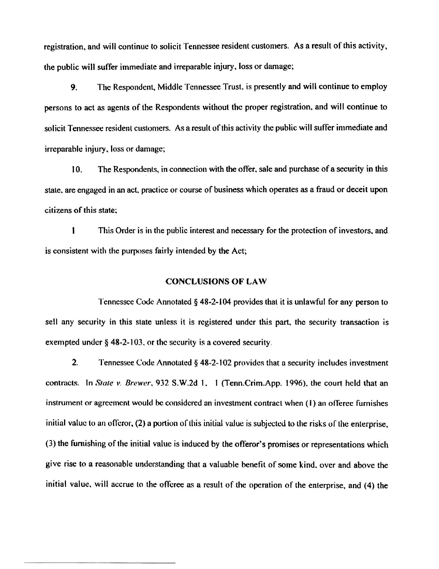registration. and wilt continue to solicit Tennessee resident customers. As a result of this activity, the public will suffer immediate and irreparable injury, loss or damage;

9. The Respondent., Middle Tennessee Trust. is presently and will continue to employ persons to act as agents of the Respondents without the proper registration. and will continue to solicit Tennessee resident customers. As a result of this activity the public will suffer immediate and irreparable injury. loss or damage;

10. The Respondents, in connection with the offer, sale and purchase of a security in this state. are engaged in an act. practice or course of business which operates as a fraud or deceit upon citizens of this state:

I This Order is in the public interest and necessary for the protection of investors. and is consistent with the purposes fairly intended by the Act;

#### CONCLUSIONS OF LAW

Tennessee Code Annotated § 48-2-l 04 provides that it is unlawful for any person to sell any security in this state unless it is registered under this part, the security transaction is exempted under§ 48-2-103. or the security is a covered security.

2. Tennessee Code Annotated  $\delta$  48-2-102 provides that a security includes investment contracts. In *Slate v. Brewer.* 932 S.W.2d 1. 1 (Tenn.Crim.App. 1996). the court held that an instrument or agreement would be considered an investment contract when (1) an offeree furnishes initial value to an offeror, (2) a portion of this initial value is subjected to the risks of the enterprise, (3) the furnishing of the initial value is induced by the offeror's promises or representations which give rise to a reasonable understanding that a valuable benefit of some kind. over and above the initial value, will accrue to the offeree as a result of the operation of the enterprise, and (4) the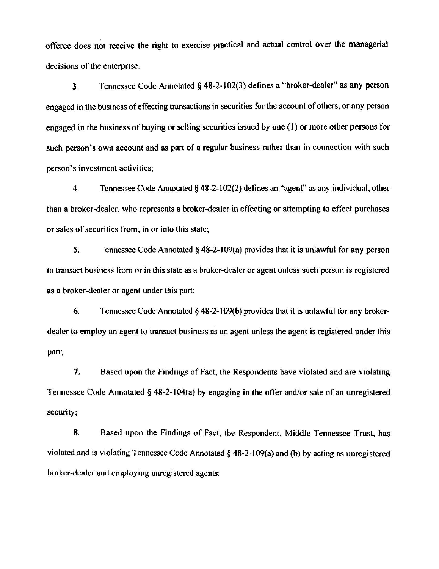offeree does not receive the right to exercise practical and actual control over the managerial decisions of the enterprise.

3. Tennessee Code Annotated § 48-2-102(3) defines a "broker-dealer" as any person engaged in the business of effecting transactions in securities for the account of others. or any person engaged in the business of buying or selling securities issued by one ( l) or more other persons for such person's own account and as part of a regular business rather than in connection with such person's investment activities;

4 Tennessee Code Annotated§ 48-2-102(2) defines an "agent" as any individual, other than a broker-dealer. who represents a broker-dealer in effecting or attempting to effect purchases or sales of securities from. in or into this state:

5. 'ennessee Code Annotated § 48-2-1 09(a) provides that it is unlawful for any person to transact business from or in this state as a broker-dealer or agent unless such person is registered as a broker-dealer or agent under this part;

6. Tennessee Code Annotated § 48-2-1 09(b) provides that it is unlawful for any brokerdealer to employ an agent to transact business as an agent unless the agent is registered under this part;

7. Based upon the Findings of Fact. the Respondents have violated. and are violating Tennessee Code Annotated § 48-2-104(a) by engaging in the offer and/or sale of an unregistered security;

8. Based upon the Findings of Fact. the Respondent, Middle Tennessee Trust, has violated and is violating Tennessee Code Annotated§ 48-2-1 09(a) and (b) by acting as unregistered broker-dealer and employing unregistered agents.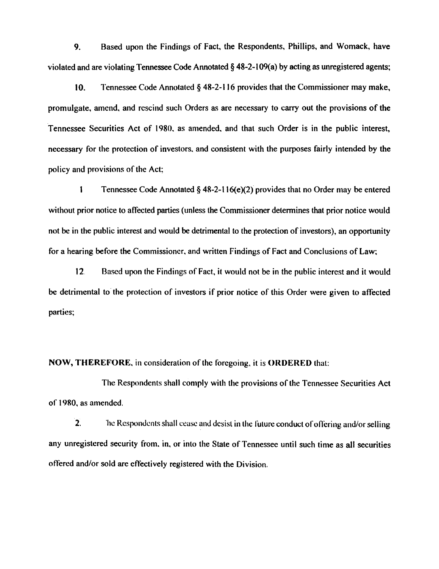9. Based upon the Findings of Fact, the Respondents, Phillips, and Womack, have violated and are violating Tennessee Code Annotated§ 48-2-1 09(a) by acting as unregistered agents;

10. Tennessee Code Annotated§ 48-2-116 provides that the Commissioner may make, promulgate, amend, and rescind such Orders as are necessary to carry out the provisions of the Tennessee Securities Act of 1980. as amended. and that such Order is in the public interest, necessary for the protection of investors. and consistent with the purposes fairly intended by the policy and provisions of the Act;

1 Tennessee Code Annotated§ 48-2-116(e)(2)" provides that no Order may be entered without prior notice to affected parties (unless the Commissioner determines that prior notice would not be in the public interest and would be detrimental to the protection of investors), an opportunity for a hearing before the Commissioner, and written Findings of Fact and Conclusions of Law;

12. Based upon the Findings of Fact, it would not be in the public interest and it would be detrimental to the protection of investors if prior notice of this Order were given to affected parties;

NOW, THEREFORE, in consideration of the foregoing, it is ORDERED that:

The Respondents shall comply with the provisions of the Tennessee Securities Act of 1980, as amended.

 $2.$  The Respondents shall cease and desist in the future conduct of offering and/or selling any unregistered security from, in, or into the State of Tennessee until such time as all securities offered and/or sold are effectively registered with the Division.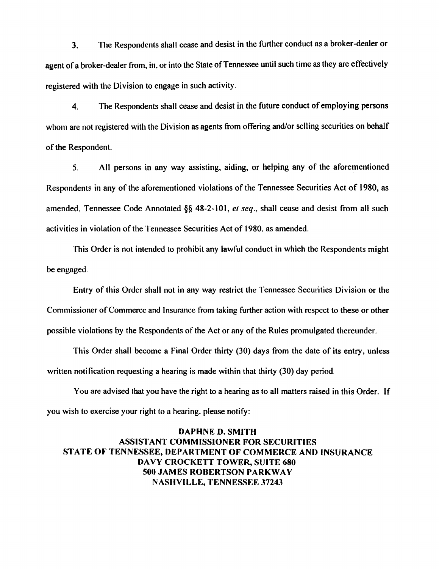3. The Respondents shall cease and desist in the further conduct as a broker-dealer or agent of a broker-dealer from, in, or into the State of Tennessee until such time as they are effectively registered with the Division to engage· in such activity.

4. The Respondents shall cease and desist in the future conduct of employing persons whom are not registered with the Division as agents from offering and/or selling securities on behalf of the Respondent.

5. All persons in any way assisting. aiding, or helping any of the aforementioned Respondents in any of the aforementioned violations of the Tennessee Securities Act of 1980, as amended. Tennessee Code Annotated§§ 48-2-101, *et seq.,* shall cease and desist from all such activities in violation of the Tennessee Securities Act of 1980. as amended.

This Order is not intended to prohibit any lawful conduct in which the Respondents might be engaged.

Entry of this Order shall not in any way restrict the Tennessee Securities Division or the Commissioner of Commerce and Insurance from taking further action with respect to these or other possible violations by the Respondents of the Act or any of the Rules promulgated thereunder.

This Order shall become a Final Order thirty (30) days from the date of its entry, unless written notification requesting a hearing is made within that thirty (30) day period.

You are advised that you have the right to a hearing as to all matters raised in this Order. If you wish to exercise your right to a hearing. please notify:

# DAPHNE D. SMITH ASSISTANT COMMISSIONER FOR SECURITIES STATE OF TENNESSEE, DEPARTMENT OF COMMERCE AND INSURANCE DAVY CROCKETT TOWER, SUITE 680 SOOJAMES ROBERTSON PARKWAY NASHVILLE, TENNESSEE 37243